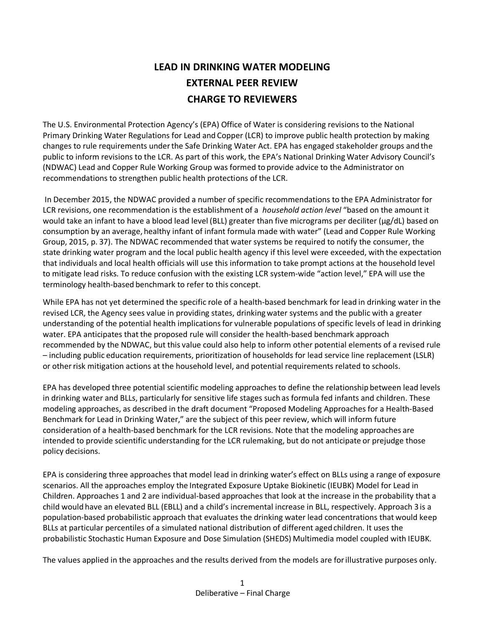# **LEAD IN DRINKING WATER MODELING EXTERNAL PEER REVIEW CHARGE TO REVIEWERS**

The U.S. Environmental Protection Agency's (EPA) Office of Water is considering revisions to the National Primary Drinking Water Regulations for Lead and Copper (LCR) to improve public health protection by making changes to rule requirements under the Safe Drinking Water Act. EPA has engaged stakeholder groups and the public to inform revisions to the LCR. As part of this work, the EPA's National Drinking Water Advisory Council's (NDWAC) Lead and Copper Rule Working Group was formed to provide advice to the Administrator on recommendations to strengthen public health protections of the LCR.

 In December 2015, the NDWAC provided a number of specific recommendations to the EPA Administrator for LCR revisions, one recommendation is the establishment of a *household action level* "based on the amount it would take an infant to have a blood lead level (BLL) greater than five micrograms per deciliter (µg/dL) based on consumption by an average, healthy infant of infant formula made with water" (Lead and Copper Rule Working Group, 2015, p. 37). The NDWAC recommended that water systems be required to notify the consumer, the state drinking water program and the local public health agency if this level were exceeded, with the expectation that individuals and local health officials will use this information to take prompt actions at the household level to mitigate lead risks. To reduce confusion with the existing LCR system-wide "action level," EPA will use the terminology health-based benchmark to refer to this concept.

While EPA has not yet determined the specific role of a health-based benchmark for lead in drinking water in the revised LCR, the Agency sees value in providing states, drinking water systems and the public with a greater understanding of the potential health implications for vulnerable populations of specific levels of lead in drinking water. EPA anticipates that the proposed rule will consider the health-based benchmark approach recommended by the NDWAC, but this value could also help to inform other potential elements of a revised rule – including public education requirements, prioritization of households for lead service line replacement (LSLR) or other risk mitigation actions at the household level, and potential requirements related to schools.

EPA has developed three potential scientific modeling approaches to define the relationship between lead levels in drinking water and BLLs, particularly for sensitive life stages such as formula fed infants and children. These modeling approaches, as described in the draft document "Proposed Modeling Approaches for a Health-Based Benchmark for Lead in Drinking Water," are the subject of this peer review, which will inform future consideration of a health-based benchmark for the LCR revisions. Note that the modeling approaches are intended to provide scientific understanding for the LCR rulemaking, but do not anticipate or prejudge those policy decisions.

EPA is considering three approaches that model lead in drinking water's effect on BLLs using a range of exposure scenarios. All the approaches employ the Integrated Exposure Uptake Biokinetic (IEUBK) Model for Lead in Children. Approaches 1 and 2 are individual-based approaches that look at the increase in the probability that a child would have an elevated BLL (EBLL) and a child's incremental increase in BLL, respectively. Approach 3 is a population-based probabilistic approach that evaluates the drinking water lead concentrations that would keep BLLs at particular percentiles of a simulated national distribution of different aged children. It uses the probabilistic Stochastic Human Exposure and Dose Simulation (SHEDS) Multimedia model coupled with IEUBK.

The values applied in the approaches and the results derived from the models are for illustrative purposes only.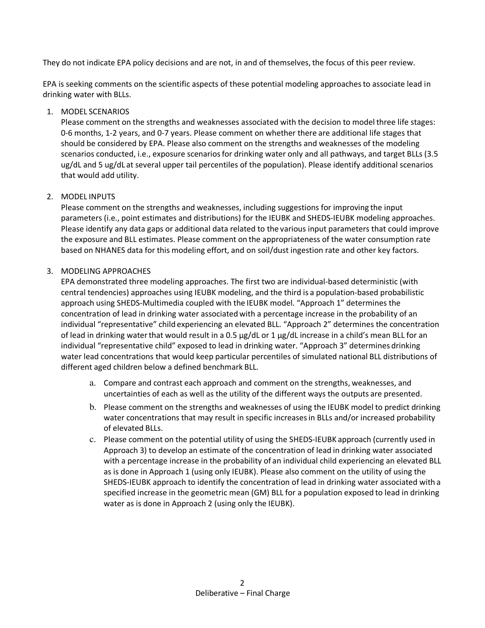They do not indicate EPA policy decisions and are not, in and of themselves, the focus of this peer review.

EPA is seeking comments on the scientific aspects of these potential modeling approaches to associate lead in drinking water with BLLs.

## 1. MODEL SCENARIOS

Please comment on the strengths and weaknesses associated with the decision to model three life stages: 0-6 months, 1-2 years, and 0-7 years. Please comment on whether there are additional life stages that should be considered by EPA. Please also comment on the strengths and weaknesses of the modeling scenarios conducted, i.e., exposure scenarios for drinking water only and all pathways, and target BLLs (3.5 ug/dL and 5 ug/dL at several upper tail percentiles of the population). Please identify additional scenarios that would add utility.

### 2. MODEL INPUTS

Please comment on the strengths and weaknesses, including suggestions for improving the input parameters (i.e., point estimates and distributions) for the IEUBK and SHEDS-IEUBK modeling approaches. Please identify any data gaps or additional data related to the various input parameters that could improve the exposure and BLL estimates. Please comment on the appropriateness of the water consumption rate based on NHANES data for this modeling effort, and on soil/dust ingestion rate and other key factors.

### 3. MODELING APPROACHES

EPA demonstrated three modeling approaches. The first two are individual-based deterministic (with central tendencies) approaches using IEUBK modeling, and the third is a population-based probabilistic approach using SHEDS-Multimedia coupled with the IEUBK model. "Approach 1" determines the concentration of lead in drinking water associated with a percentage increase in the probability of an individual "representative" child experiencing an elevated BLL. "Approach 2" determines the concentration of lead in drinking water that would result in a 0.5 µg/dL or 1 µg/dL increase in a child's mean BLL for an individual "representative child" exposed to lead in drinking water. "Approach 3" determines drinking water lead concentrations that would keep particular percentiles of simulated national BLL distributions of different aged children below a defined benchmark BLL.

- a. Compare and contrast each approach and comment on the strengths, weaknesses, and uncertainties of each as well as the utility of the different ways the outputs are presented.
- b. Please comment on the strengths and weaknesses of using the IEUBK model to predict drinking water concentrations that may result in specific increases in BLLs and/or increased probability of elevated BLLs.
- c. Please comment on the potential utility of using the SHEDS-IEUBK approach (currently used in Approach 3) to develop an estimate of the concentration of lead in drinking water associated with a percentage increase in the probability of an individual child experiencing an elevated BLL as is done in Approach 1 (using only IEUBK). Please also comment on the utility of using the SHEDS-IEUBK approach to identify the concentration of lead in drinking water associated with a specified increase in the geometric mean (GM) BLL for a population exposed to lead in drinking water as is done in Approach 2 (using only the IEUBK).